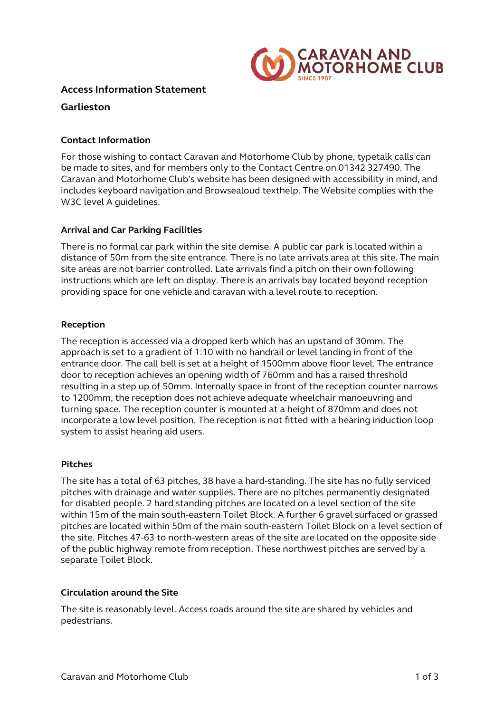

# **Access Information Statement**

# **Garlieston**

### **Contact Information**

For those wishing to contact Caravan and Motorhome Club by phone, typetalk calls can be made to sites, and for members only to the Contact Centre on 01342 327490. The Caravan and Motorhome Club's website has been designed with accessibility in mind, and includes keyboard navigation and Browsealoud texthelp. The Website complies with the W3C level A guidelines.

### **Arrival and Car Parking Facilities**

There is no formal car park within the site demise. A public car park is located within a distance of 50m from the site entrance. There is no late arrivals area at this site. The main site areas are not barrier controlled. Late arrivals find a pitch on their own following instructions which are left on display. There is an arrivals bay located beyond reception providing space for one vehicle and caravan with a level route to reception.

### **Reception**

The reception is accessed via a dropped kerb which has an upstand of 30mm. The approach is set to a gradient of 1:10 with no handrail or level landing in front of the entrance door. The call bell is set at a height of 1500mm above floor level. The entrance door to reception achieves an opening width of 760mm and has a raised threshold resulting in a step up of 50mm. Internally space in front of the reception counter narrows to 1200mm, the reception does not achieve adequate wheelchair manoeuvring and turning space. The reception counter is mounted at a height of 870mm and does not incorporate a low level position. The reception is not fitted with a hearing induction loop system to assist hearing aid users.

### **Pitches**

The site has a total of 63 pitches, 38 have a hard-standing. The site has no fully serviced pitches with drainage and water supplies. There are no pitches permanently designated for disabled people. 2 hard standing pitches are located on a level section of the site within 15m of the main south-eastern Toilet Block. A further 6 gravel surfaced or grassed pitches are located within 50m of the main south-eastern Toilet Block on a level section of the site. Pitches 47-63 to north-western areas of the site are located on the opposite side of the public highway remote from reception. These northwest pitches are served by a separate Toilet Block.

### **Circulation around the Site**

The site is reasonably level. Access roads around the site are shared by vehicles and pedestrians.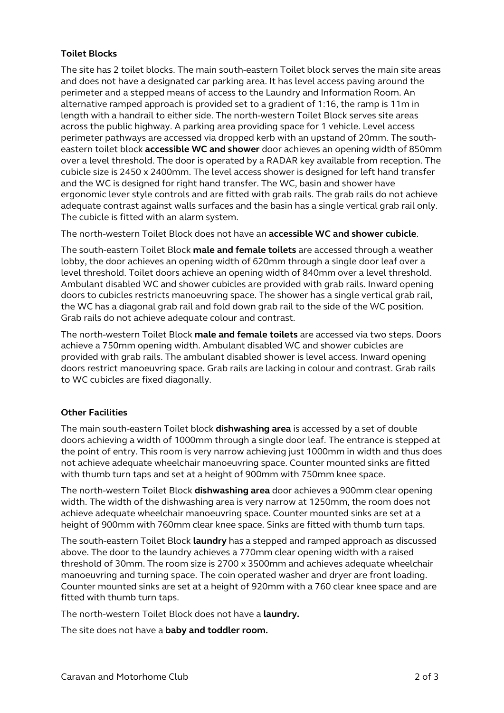# **Toilet Blocks**

The site has 2 toilet blocks. The main south-eastern Toilet block serves the main site areas and does not have a designated car parking area. It has level access paving around the perimeter and a stepped means of access to the Laundry and Information Room. An alternative ramped approach is provided set to a gradient of 1:16, the ramp is 11m in length with a handrail to either side. The north-western Toilet Block serves site areas across the public highway. A parking area providing space for 1 vehicle. Level access perimeter pathways are accessed via dropped kerb with an upstand of 20mm. The southeastern toilet block **accessible WC and shower** door achieves an opening width of 850mm over a level threshold. The door is operated by a RADAR key available from reception. The cubicle size is 2450 x 2400mm. The level access shower is designed for left hand transfer and the WC is designed for right hand transfer. The WC, basin and shower have ergonomic lever style controls and are fitted with grab rails. The grab rails do not achieve adequate contrast against walls surfaces and the basin has a single vertical grab rail only. The cubicle is fitted with an alarm system.

The north-western Toilet Block does not have an **accessible WC and shower cubicle**.

The south-eastern Toilet Block **male and female toilets** are accessed through a weather lobby, the door achieves an opening width of 620mm through a single door leaf over a level threshold. Toilet doors achieve an opening width of 840mm over a level threshold. Ambulant disabled WC and shower cubicles are provided with grab rails. Inward opening doors to cubicles restricts manoeuvring space. The shower has a single vertical grab rail, the WC has a diagonal grab rail and fold down grab rail to the side of the WC position. Grab rails do not achieve adequate colour and contrast.

The north-western Toilet Block **male and female toilets** are accessed via two steps. Doors achieve a 750mm opening width. Ambulant disabled WC and shower cubicles are provided with grab rails. The ambulant disabled shower is level access. Inward opening doors restrict manoeuvring space. Grab rails are lacking in colour and contrast. Grab rails to WC cubicles are fixed diagonally.

### **Other Facilities**

The main south-eastern Toilet block **dishwashing area** is accessed by a set of double doors achieving a width of 1000mm through a single door leaf. The entrance is stepped at the point of entry. This room is very narrow achieving just 1000mm in width and thus does not achieve adequate wheelchair manoeuvring space. Counter mounted sinks are fitted with thumb turn taps and set at a height of 900mm with 750mm knee space.

The north-western Toilet Block **dishwashing area** door achieves a 900mm clear opening width. The width of the dishwashing area is very narrow at 1250mm, the room does not achieve adequate wheelchair manoeuvring space. Counter mounted sinks are set at a height of 900mm with 760mm clear knee space. Sinks are fitted with thumb turn taps.

The south-eastern Toilet Block **laundry** has a stepped and ramped approach as discussed above. The door to the laundry achieves a 770mm clear opening width with a raised threshold of 30mm. The room size is 2700 x 3500mm and achieves adequate wheelchair manoeuvring and turning space. The coin operated washer and dryer are front loading. Counter mounted sinks are set at a height of 920mm with a 760 clear knee space and are fitted with thumb turn taps.

The north-western Toilet Block does not have a **laundry.** 

The site does not have a **baby and toddler room.**